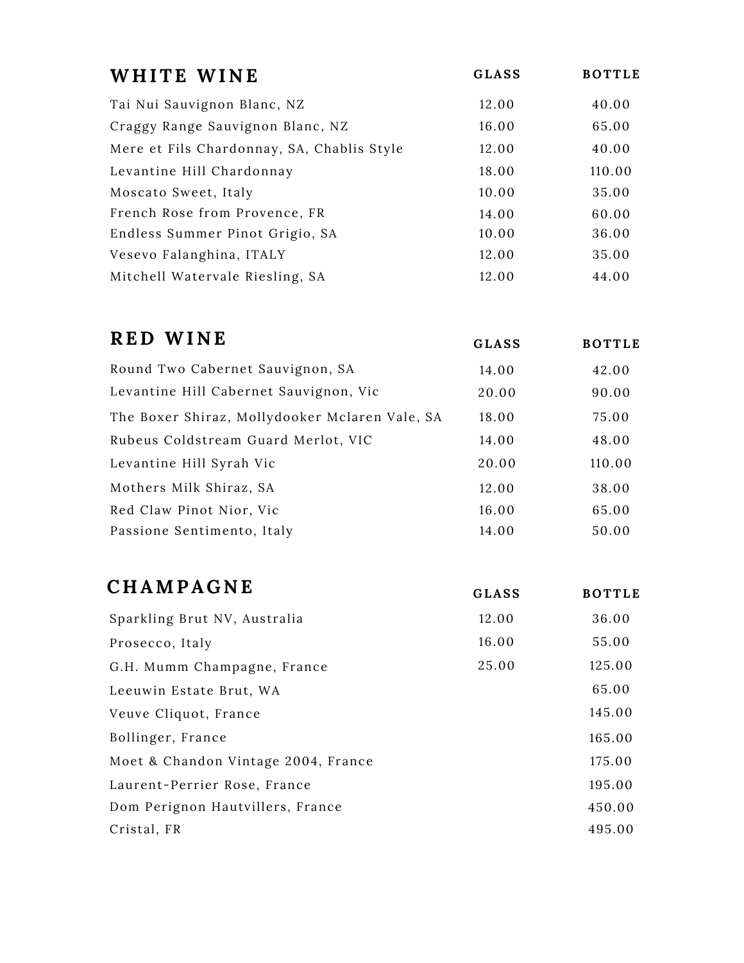| WHITE WINE                                 | <b>GLASS</b> | <b>BOTTLE</b> |
|--------------------------------------------|--------------|---------------|
| Tai Nui Sauvignon Blanc, NZ                | 12.00        | 40.00         |
| Craggy Range Sauvignon Blanc, NZ           | 16.00        | 65.00         |
| Mere et Fils Chardonnay, SA, Chablis Style | 12.00        | 40.00         |
| Levantine Hill Chardonnay                  | 18.00        | 110.00        |
| Moscato Sweet, Italy                       | 10.00        | 35.00         |
| French Rose from Provence, FR              | 14.00        | 60.00         |
| Endless Summer Pinot Grigio, SA            | 10.00        | 36.00         |
| Vesevo Falanghina, ITALY                   | 12.00        | 35.00         |
| Mitchell Watervale Riesling, SA            | 12.00        | 44.00         |

| <b>RED WINE</b>                                | <b>GLASS</b> | <b>BOTTLE</b> |
|------------------------------------------------|--------------|---------------|
| Round Two Cabernet Sauvignon, SA               | 14.00        | 42.00         |
| Levantine Hill Cabernet Sauvignon, Vic         | 20.00        | 90.00         |
| The Boxer Shiraz, Mollydooker Mclaren Vale, SA | 18.00        | 75.00         |
| Rubeus Coldstream Guard Merlot, VIC            | 14.00        | 48.00         |
| Levantine Hill Syrah Vic                       | 20.00        | 110.00        |
| Mothers Milk Shiraz, SA                        | 12.00        | 38.00         |
| Red Claw Pinot Nior, Vic                       | 16.00        | 65.00         |
| Passione Sentimento, Italy                     | 14.00        | 50.00         |

| <b>CHAMPAGNE</b>                    | <b>GLASS</b> | <b>BOTTLE</b> |
|-------------------------------------|--------------|---------------|
| Sparkling Brut NV, Australia        | 12.00        | 36.00         |
| Prosecco, Italy                     | 16.00        | 55.00         |
| G.H. Mumm Champagne, France         | 25.00        | 125.00        |
| Leeuwin Estate Brut, WA             |              | 65.00         |
| Veuve Cliquot, France               |              | 145.00        |
| Bollinger, France                   |              | 165.00        |
| Moet & Chandon Vintage 2004, France |              | 175.00        |
| Laurent-Perrier Rose, France        |              | 195.00        |
| Dom Perignon Hautvillers, France    |              | 450.00        |
| Cristal, FR                         |              | 495.00        |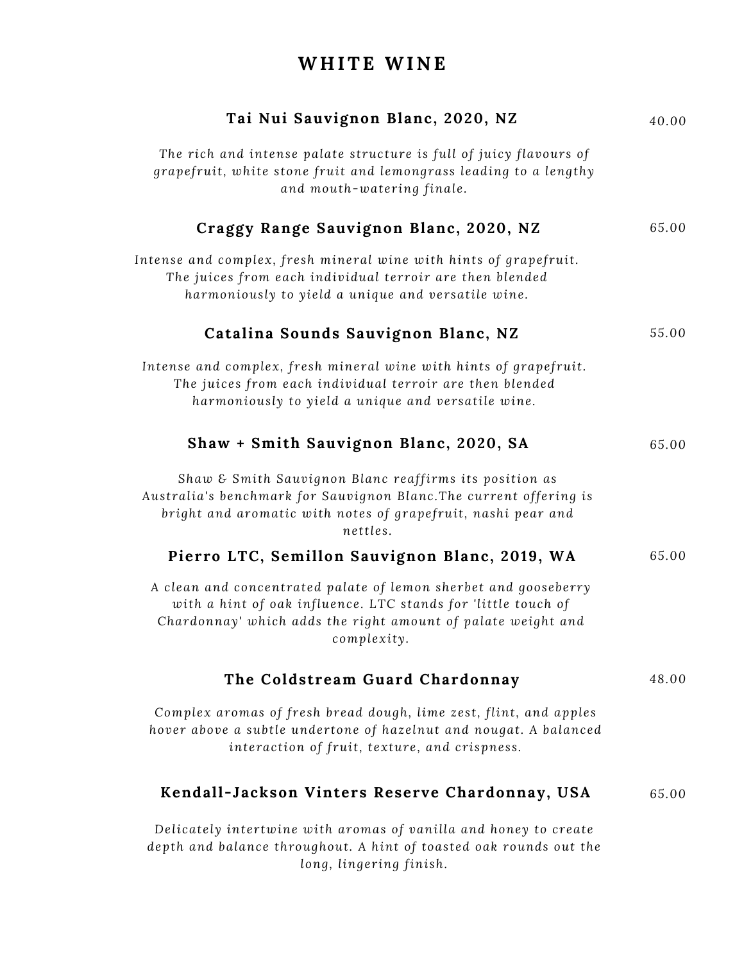## **WH ITE WINE**

| Tai Nui Sauvignon Blanc, 2020, NZ                                                                                                                                                                               | 40.00 |
|-----------------------------------------------------------------------------------------------------------------------------------------------------------------------------------------------------------------|-------|
| The rich and intense palate structure is full of juicy flavours of<br>grapefruit, white stone fruit and lemongrass leading to a lengthy<br>and mouth-watering finale.                                           |       |
| Craggy Range Sauvignon Blanc, 2020, NZ                                                                                                                                                                          | 65.00 |
| Intense and complex, fresh mineral wine with hints of grapefruit.<br>The juices from each individual terroir are then blended<br>harmoniously to yield a unique and versatile wine.                             |       |
| Catalina Sounds Sauvignon Blanc, NZ                                                                                                                                                                             | 55.00 |
| Intense and complex, fresh mineral wine with hints of grapefruit.<br>The juices from each individual terroir are then blended<br>harmoniously to yield a unique and versatile wine.                             |       |
| Shaw + Smith Sauvignon Blanc, 2020, SA                                                                                                                                                                          | 65.00 |
| Shaw & Smith Sauvignon Blanc reaffirms its position as<br>Australia's benchmark for Sauvignon Blanc. The current offering is<br>bright and aromatic with notes of grapefruit, nashi pear and<br>nettles.        |       |
| Pierro LTC, Semillon Sauvignon Blanc, 2019, WA                                                                                                                                                                  | 65.00 |
| A clean and concentrated palate of lemon sherbet and gooseberry<br>with a hint of oak influence. LTC stands for 'little touch of<br>Chardonnay' which adds the right amount of palate weight and<br>complexity. |       |
| The Coldstream Guard Chardonnay                                                                                                                                                                                 | 48.00 |
| Complex aromas of fresh bread dough, lime zest, flint, and apples<br>hover above a subtle undertone of hazelnut and nougat. A balanced<br>interaction of fruit, texture, and crispness.                         |       |
| Kendall-Jackson Vinters Reserve Chardonnay, USA                                                                                                                                                                 | 65.00 |
| Delicately intertwine with aromas of vanilla and honey to create<br>depth and balance throughout. A hint of toasted oak rounds out the<br>long, lingering finish.                                               |       |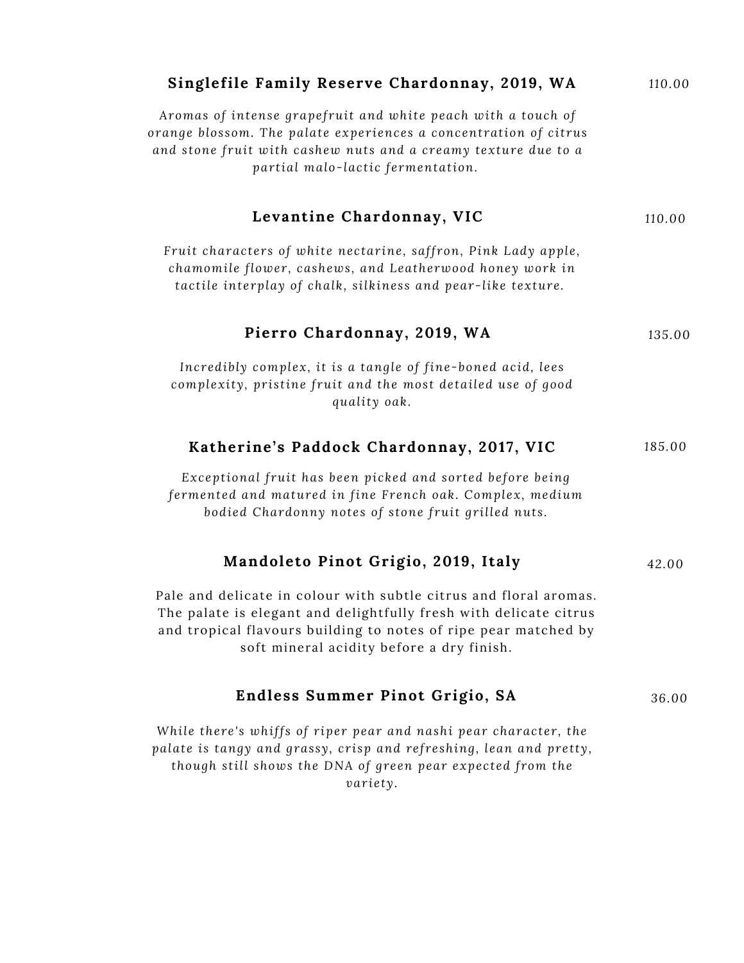| Singlefile Family Reserve Chardonnay, 2019, WA                                                                                                                                                                                                         | 110.00 |
|--------------------------------------------------------------------------------------------------------------------------------------------------------------------------------------------------------------------------------------------------------|--------|
| Aromas of intense grapefruit and white peach with a touch of<br>orange blossom. The palate experiences a concentration of citrus<br>and stone fruit with cashew nuts and a creamy texture due to a<br>partial malo-lactic fermentation.                |        |
| Levantine Chardonnay, VIC                                                                                                                                                                                                                              | 110.00 |
| Fruit characters of white nectarine, saffron, Pink Lady apple,<br>chamomile flower, cashews, and Leatherwood honey work in<br>tactile interplay of chalk, silkiness and pear-like texture.                                                             |        |
| Pierro Chardonnay, 2019, WA                                                                                                                                                                                                                            | 135.00 |
| Incredibly complex, it is a tangle of fine-boned acid, lees<br>complexity, pristine fruit and the most detailed use of good<br>quality oak.                                                                                                            |        |
| Katherine's Paddock Chardonnay, 2017, VIC                                                                                                                                                                                                              | 185.00 |
| Exceptional fruit has been picked and sorted before being<br>fermented and matured in fine French oak. Complex, medium<br>bodied Chardonny notes of stone fruit grilled nuts.                                                                          |        |
| Mandoleto Pinot Grigio, 2019, Italy                                                                                                                                                                                                                    | 42.00  |
| Pale and delicate in colour with subtle citrus and floral aromas.<br>The palate is elegant and delightfully fresh with delicate citrus<br>and tropical flavours building to notes of ripe pear matched by<br>soft mineral acidity before a dry finish. |        |
| Endless Summer Pinot Grigio, SA                                                                                                                                                                                                                        | 36.00  |
| While there's whiffs of riper pear and nashi pear character, the<br>palate is tangy and grassy, crisp and refreshing, lean and pretty,<br>though still shows the DNA of green pear expected from the<br>variety.                                       |        |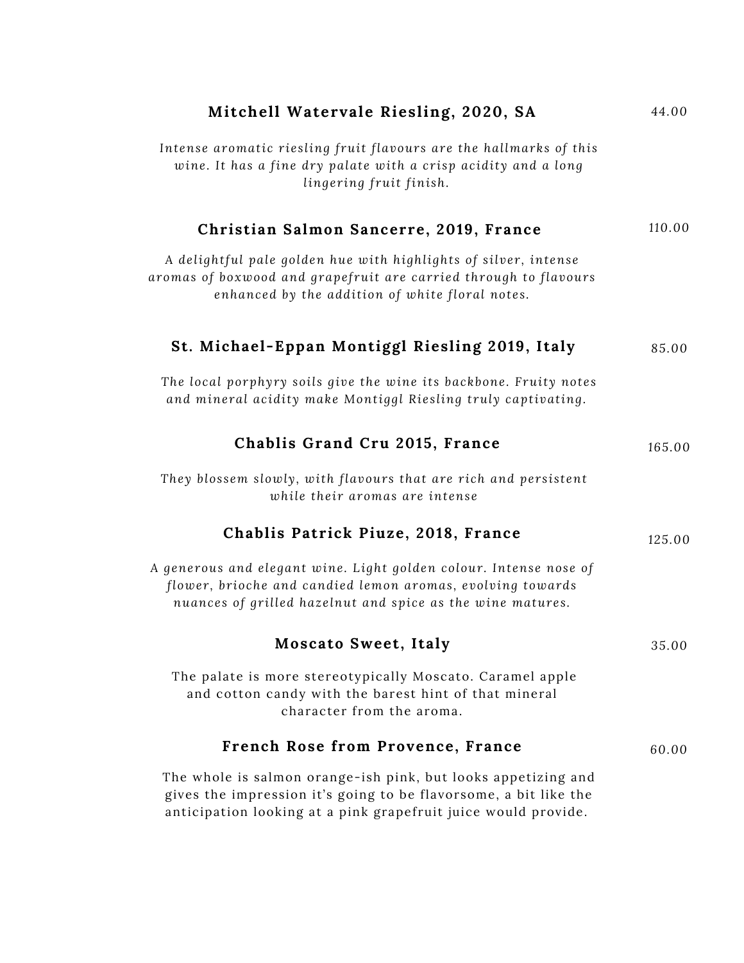| Mitchell Watervale Riesling, 2020, SA                                                                                                                                                               | 44.00  |
|-----------------------------------------------------------------------------------------------------------------------------------------------------------------------------------------------------|--------|
| Intense aromatic riesling fruit flavours are the hallmarks of this<br>wine. It has a fine dry palate with a crisp acidity and a long<br>lingering fruit finish.                                     |        |
| Christian Salmon Sancerre, 2019, France                                                                                                                                                             | 110.00 |
| A delightful pale golden hue with highlights of silver, intense<br>aromas of boxwood and grapefruit are carried through to flavours<br>enhanced by the addition of white floral notes.              |        |
| St. Michael-Eppan Montiggl Riesling 2019, Italy                                                                                                                                                     | 85.00  |
| The local porphyry soils give the wine its backbone. Fruity notes<br>and mineral acidity make Montiggl Riesling truly captivating.                                                                  |        |
| Chablis Grand Cru 2015, France                                                                                                                                                                      | 165.00 |
| They blossem slowly, with flavours that are rich and persistent<br>while their aromas are intense                                                                                                   |        |
| Chablis Patrick Piuze, 2018, France                                                                                                                                                                 | 125.00 |
| A generous and elegant wine. Light golden colour. Intense nose of<br>flower, brioche and candied lemon aromas, evolving towards<br>nuances of grilled hazelnut and spice as the wine matures.       |        |
| <b>Moscato Sweet, Italy</b>                                                                                                                                                                         | 35.00  |
| The palate is more stereotypically Moscato. Caramel apple<br>and cotton candy with the barest hint of that mineral<br>character from the aroma.                                                     |        |
| French Rose from Provence, France                                                                                                                                                                   | 60.00  |
| The whole is salmon orange-ish pink, but looks appetizing and<br>gives the impression it's going to be flavorsome, a bit like the<br>anticipation looking at a pink grapefruit juice would provide. |        |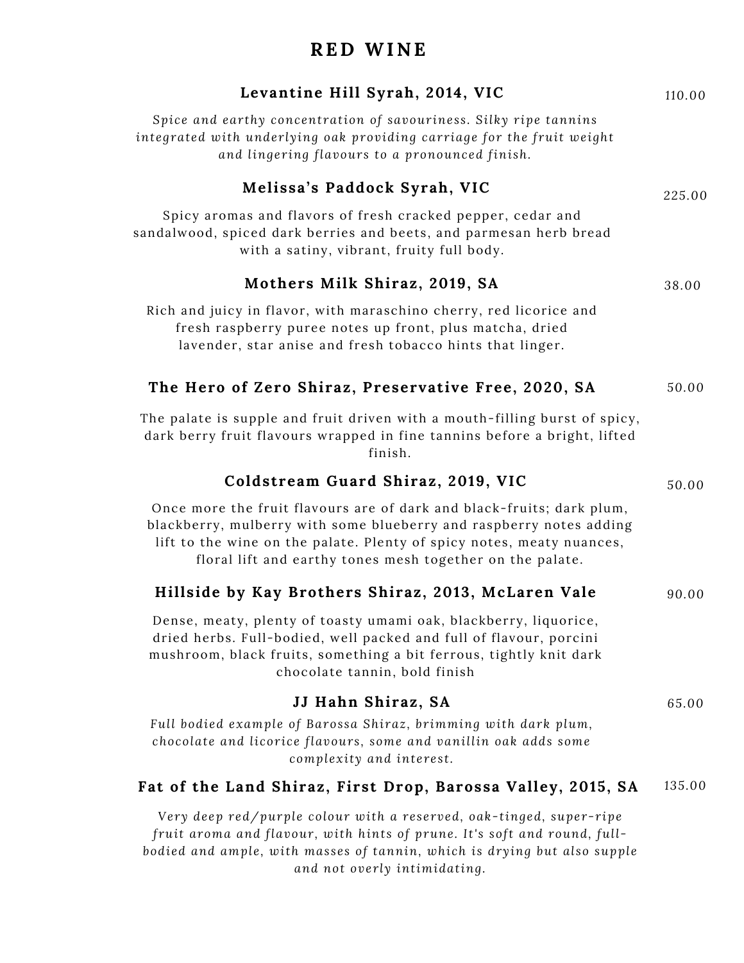## **RED WINE**

| Levantine Hill Syrah, 2014, VIC                                                                                                                                                                                                                                                    | 110.00 |
|------------------------------------------------------------------------------------------------------------------------------------------------------------------------------------------------------------------------------------------------------------------------------------|--------|
| Spice and earthy concentration of savouriness. Silky ripe tannins<br>integrated with underlying oak providing carriage for the fruit weight<br>and lingering flavours to a pronounced finish.                                                                                      |        |
| Melissa's Paddock Syrah, VIC                                                                                                                                                                                                                                                       | 225.00 |
| Spicy aromas and flavors of fresh cracked pepper, cedar and<br>sandalwood, spiced dark berries and beets, and parmesan herb bread<br>with a satiny, vibrant, fruity full body.                                                                                                     |        |
| Mothers Milk Shiraz, 2019, SA                                                                                                                                                                                                                                                      | 38.00  |
| Rich and juicy in flavor, with maraschino cherry, red licorice and<br>fresh raspberry puree notes up front, plus matcha, dried<br>lavender, star anise and fresh tobacco hints that linger.                                                                                        |        |
| The Hero of Zero Shiraz, Preservative Free, 2020, SA                                                                                                                                                                                                                               | 50.00  |
| The palate is supple and fruit driven with a mouth-filling burst of spicy,<br>dark berry fruit flavours wrapped in fine tannins before a bright, lifted<br>finish.                                                                                                                 |        |
| Coldstream Guard Shiraz, 2019, VIC                                                                                                                                                                                                                                                 | 50.00  |
| Once more the fruit flavours are of dark and black-fruits; dark plum,<br>blackberry, mulberry with some blueberry and raspberry notes adding<br>lift to the wine on the palate. Plenty of spicy notes, meaty nuances,<br>floral lift and earthy tones mesh together on the palate. |        |
| Hillside by Kay Brothers Shiraz, 2013, McLaren Vale                                                                                                                                                                                                                                | 90.00  |
| Dense, meaty, plenty of toasty umami oak, blackberry, liquorice,<br>dried herbs. Full-bodied, well packed and full of flavour, porcini<br>mushroom, black fruits, something a bit ferrous, tightly knit dark<br>chocolate tannin, bold finish                                      |        |
| JJ Hahn Shiraz, SA                                                                                                                                                                                                                                                                 | 65.00  |
| Full bodied example of Barossa Shiraz, brimming with dark plum,<br>chocolate and licorice flavours, some and vanillin oak adds some<br>complexity and interest.                                                                                                                    |        |
| Fat of the Land Shiraz, First Drop, Barossa Valley, 2015, SA                                                                                                                                                                                                                       | 135.00 |
| Very deep red/purple colour with a reserved, oak-tinged, super-ripe<br>fruit aroma and flavour, with hints of prune. It's soft and round, full-                                                                                                                                    |        |

*bodied and ample, with mas ses of tannin, which i s drying but al so supple and not overly intimidating.*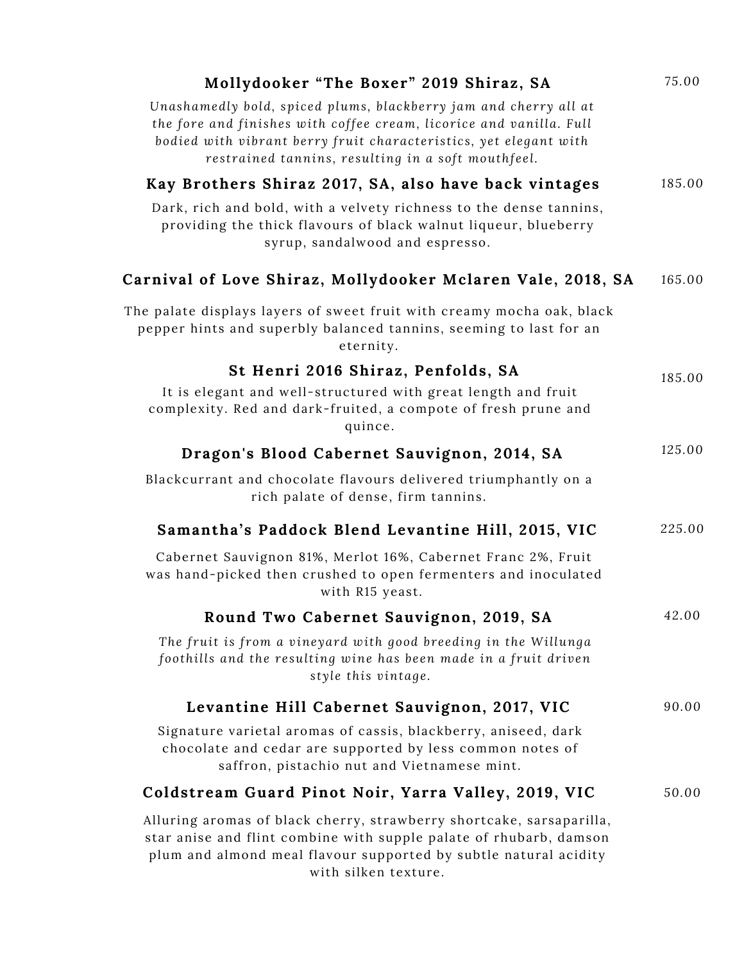| Mollydooker "The Boxer" 2019 Shiraz, SA                                                                                                                                                                                                                            | 75.00  |
|--------------------------------------------------------------------------------------------------------------------------------------------------------------------------------------------------------------------------------------------------------------------|--------|
| Unashamedly bold, spiced plums, blackberry jam and cherry all at<br>the fore and finishes with coffee cream, licorice and vanilla. Full<br>bodied with vibrant berry fruit characteristics, yet elegant with<br>restrained tannins, resulting in a soft mouthfeel. |        |
| Kay Brothers Shiraz 2017, SA, also have back vintages                                                                                                                                                                                                              | 185.00 |
| Dark, rich and bold, with a velvety richness to the dense tannins,<br>providing the thick flavours of black walnut liqueur, blueberry<br>syrup, sandalwood and espresso.                                                                                           |        |
| Carnival of Love Shiraz, Mollydooker Mclaren Vale, 2018, SA                                                                                                                                                                                                        | 165.00 |
| The palate displays layers of sweet fruit with creamy mocha oak, black<br>pepper hints and superbly balanced tannins, seeming to last for an<br>eternity.                                                                                                          |        |
| St Henri 2016 Shiraz, Penfolds, SA<br>It is elegant and well-structured with great length and fruit<br>complexity. Red and dark-fruited, a compote of fresh prune and<br>quince.                                                                                   | 185.00 |
| Dragon's Blood Cabernet Sauvignon, 2014, SA                                                                                                                                                                                                                        | 125.00 |
| Blackcurrant and chocolate flavours delivered triumphantly on a<br>rich palate of dense, firm tannins.                                                                                                                                                             |        |
| Samantha's Paddock Blend Levantine Hill, 2015, VIC                                                                                                                                                                                                                 | 225.00 |
| Cabernet Sauvignon 81%, Merlot 16%, Cabernet Franc 2%, Fruit<br>was hand-picked then crushed to open fermenters and inoculated<br>with R15 yeast.                                                                                                                  |        |
| Round Two Cabernet Sauvignon, 2019, SA                                                                                                                                                                                                                             | 42.00  |
| The fruit is from a vineyard with good breeding in the Willunga<br>foothills and the resulting wine has been made in a fruit driven<br>style this vintage.                                                                                                         |        |
| Levantine Hill Cabernet Sauvignon, 2017, VIC                                                                                                                                                                                                                       | 90.00  |
| Signature varietal aromas of cassis, blackberry, aniseed, dark<br>chocolate and cedar are supported by less common notes of<br>saffron, pistachio nut and Vietnamese mint.                                                                                         |        |
| Coldstream Guard Pinot Noir, Yarra Valley, 2019, VIC                                                                                                                                                                                                               | 50.00  |
| Alluring aromas of black cherry, strawberry shortcake, sarsaparilla,<br>star anise and flint combine with supple palate of rhubarb, damson<br>plum and almond meal flavour supported by subtle natural acidity<br>with silken texture.                             |        |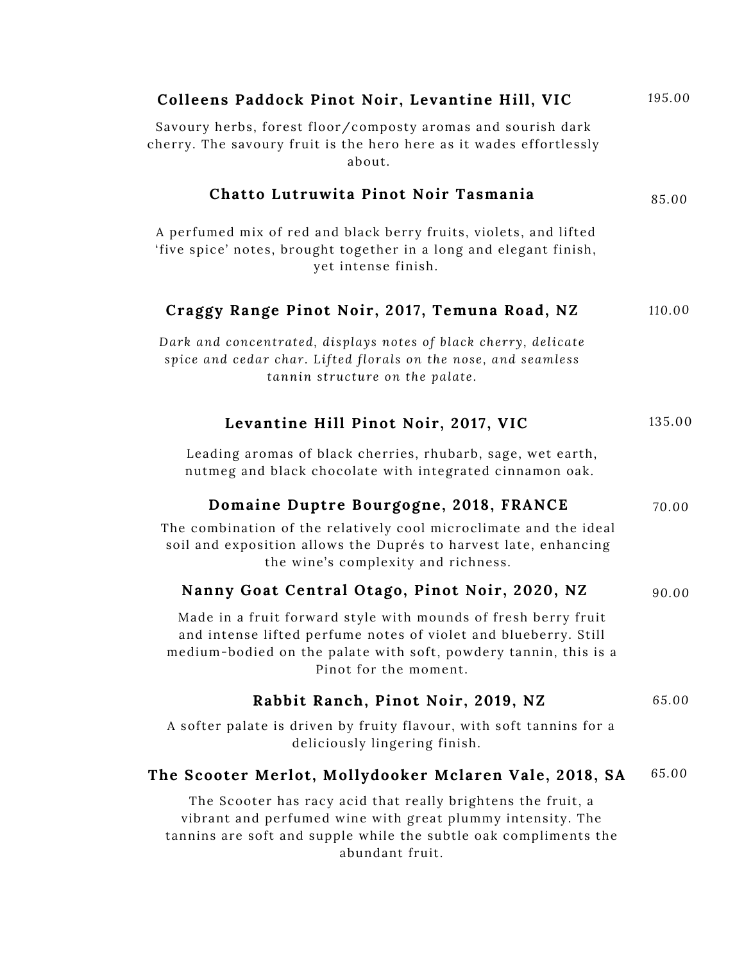| Colleens Paddock Pinot Noir, Levantine Hill, VIC                                                                                                                                                                               | 195.00 |
|--------------------------------------------------------------------------------------------------------------------------------------------------------------------------------------------------------------------------------|--------|
| Savoury herbs, forest floor/composty aromas and sourish dark<br>cherry. The savoury fruit is the hero here as it wades effortlessly<br>about.                                                                                  |        |
| Chatto Lutruwita Pinot Noir Tasmania                                                                                                                                                                                           | 85.00  |
| A perfumed mix of red and black berry fruits, violets, and lifted<br>'five spice' notes, brought together in a long and elegant finish,<br>yet intense finish.                                                                 |        |
| Craggy Range Pinot Noir, 2017, Temuna Road, NZ                                                                                                                                                                                 | 110.00 |
| Dark and concentrated, displays notes of black cherry, delicate<br>spice and cedar char. Lifted florals on the nose, and seamless<br>tannin structure on the palate.                                                           |        |
| Levantine Hill Pinot Noir, 2017, VIC                                                                                                                                                                                           | 135.00 |
| Leading aromas of black cherries, rhubarb, sage, wet earth,<br>nutmeg and black chocolate with integrated cinnamon oak.                                                                                                        |        |
| Domaine Duptre Bourgogne, 2018, FRANCE                                                                                                                                                                                         | 70.00  |
| The combination of the relatively cool microclimate and the ideal<br>soil and exposition allows the Duprés to harvest late, enhancing<br>the wine's complexity and richness.                                                   |        |
| Nanny Goat Central Otago, Pinot Noir, 2020, NZ                                                                                                                                                                                 | 90.00  |
| Made in a fruit forward style with mounds of fresh berry fruit<br>and intense lifted perfume notes of violet and blueberry. Still<br>medium-bodied on the palate with soft, powdery tannin, this is a<br>Pinot for the moment. |        |
| Rabbit Ranch, Pinot Noir, 2019, NZ                                                                                                                                                                                             | 65.00  |
| A softer palate is driven by fruity flavour, with soft tannins for a<br>deliciously lingering finish.                                                                                                                          |        |
| The Scooter Merlot, Mollydooker Mclaren Vale, 2018, SA                                                                                                                                                                         | 65.00  |
| The Scooter has racy acid that really brightens the fruit, a<br>vibrant and perfumed wine with great plummy intensity. The<br>tannins are soft and supple while the subtle oak compliments the<br>abundant fruit.              |        |